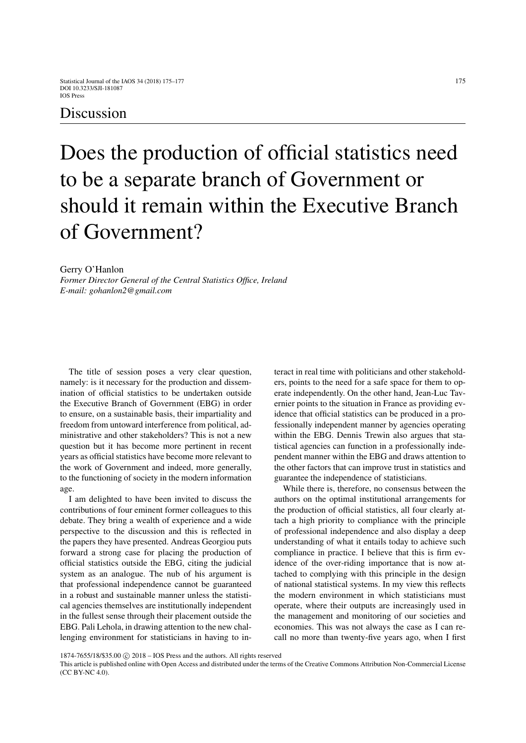## Discussion

## Does the production of official statistics need to be a separate branch of Government or should it remain within the Executive Branch of Government?

Gerry O'Hanlon

*Former Director General of the Central Statistics Office, Ireland E-mail: gohanlon2@gmail.com*

The title of session poses a very clear question, namely: is it necessary for the production and dissemination of official statistics to be undertaken outside the Executive Branch of Government (EBG) in order to ensure, on a sustainable basis, their impartiality and freedom from untoward interference from political, administrative and other stakeholders? This is not a new question but it has become more pertinent in recent years as official statistics have become more relevant to the work of Government and indeed, more generally, to the functioning of society in the modern information age.

I am delighted to have been invited to discuss the contributions of four eminent former colleagues to this debate. They bring a wealth of experience and a wide perspective to the discussion and this is reflected in the papers they have presented. Andreas Georgiou puts forward a strong case for placing the production of official statistics outside the EBG, citing the judicial system as an analogue. The nub of his argument is that professional independence cannot be guaranteed in a robust and sustainable manner unless the statistical agencies themselves are institutionally independent in the fullest sense through their placement outside the EBG. Pali Lehola, in drawing attention to the new challenging environment for statisticians in having to interact in real time with politicians and other stakeholders, points to the need for a safe space for them to operate independently. On the other hand, Jean-Luc Tavernier points to the situation in France as providing evidence that official statistics can be produced in a professionally independent manner by agencies operating within the EBG. Dennis Trewin also argues that statistical agencies can function in a professionally independent manner within the EBG and draws attention to the other factors that can improve trust in statistics and guarantee the independence of statisticians.

While there is, therefore, no consensus between the authors on the optimal institutional arrangements for the production of official statistics, all four clearly attach a high priority to compliance with the principle of professional independence and also display a deep understanding of what it entails today to achieve such compliance in practice. I believe that this is firm evidence of the over-riding importance that is now attached to complying with this principle in the design of national statistical systems. In my view this reflects the modern environment in which statisticians must operate, where their outputs are increasingly used in the management and monitoring of our societies and economies. This was not always the case as I can recall no more than twenty-five years ago, when I first

<sup>1874-7655/18/\$35.00</sup> C 2018 – IOS Press and the authors. All rights reserved

This article is published online with Open Access and distributed under the terms of the Creative Commons Attribution Non-Commercial License (CC BY-NC 4.0).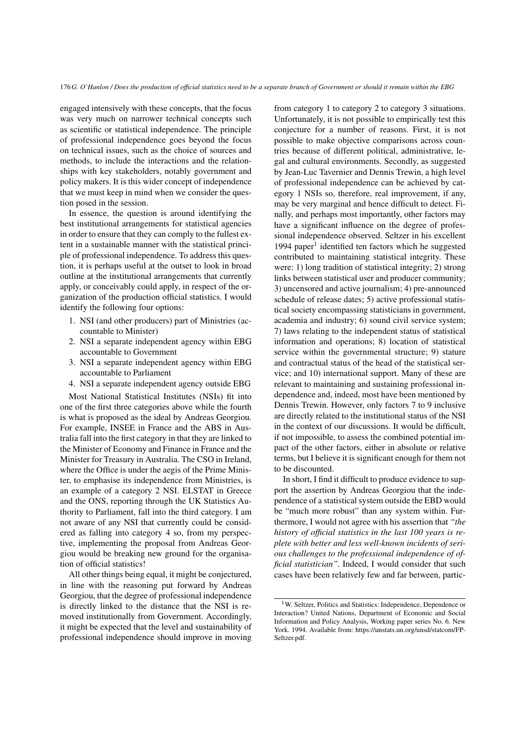engaged intensively with these concepts, that the focus was very much on narrower technical concepts such as scientific or statistical independence. The principle of professional independence goes beyond the focus on technical issues, such as the choice of sources and methods, to include the interactions and the relationships with key stakeholders, notably government and policy makers. It is this wider concept of independence that we must keep in mind when we consider the question posed in the session.

In essence, the question is around identifying the best institutional arrangements for statistical agencies in order to ensure that they can comply to the fullest extent in a sustainable manner with the statistical principle of professional independence. To address this question, it is perhaps useful at the outset to look in broad outline at the institutional arrangements that currently apply, or conceivably could apply, in respect of the organization of the production official statistics. I would identify the following four options:

- 1. NSI (and other producers) part of Ministries (accountable to Minister)
- 2. NSI a separate independent agency within EBG accountable to Government
- 3. NSI a separate independent agency within EBG accountable to Parliament
- 4. NSI a separate independent agency outside EBG

Most National Statistical Institutes (NSIs) fit into one of the first three categories above while the fourth is what is proposed as the ideal by Andreas Georgiou. For example, INSEE in France and the ABS in Australia fall into the first category in that they are linked to the Minister of Economy and Finance in France and the Minister for Treasury in Australia. The CSO in Ireland, where the Office is under the aegis of the Prime Minister, to emphasise its independence from Ministries, is an example of a category 2 NSI. ELSTAT in Greece and the ONS, reporting through the UK Statistics Authority to Parliament, fall into the third category. I am not aware of any NSI that currently could be considered as falling into category 4 so, from my perspective, implementing the proposal from Andreas Georgiou would be breaking new ground for the organisation of official statistics!

All other things being equal, it might be conjectured, in line with the reasoning put forward by Andreas Georgiou, that the degree of professional independence is directly linked to the distance that the NSI is removed institutionally from Government. Accordingly, it might be expected that the level and sustainability of professional independence should improve in moving from category 1 to category 2 to category 3 situations. Unfortunately, it is not possible to empirically test this conjecture for a number of reasons. First, it is not possible to make objective comparisons across countries because of different political, administrative, legal and cultural environments. Secondly, as suggested by Jean-Luc Tavernier and Dennis Trewin, a high level of professional independence can be achieved by category 1 NSIs so, therefore, real improvement, if any, may be very marginal and hence difficult to detect. Finally, and perhaps most importantly, other factors may have a significant influence on the degree of professional independence observed. Seltzer in his excellent [1](#page-1-0)994 paper<sup>1</sup> identified ten factors which he suggested contributed to maintaining statistical integrity. These were: 1) long tradition of statistical integrity; 2) strong links between statistical user and producer community; 3) uncensored and active journalism; 4) pre-announced schedule of release dates; 5) active professional statistical society encompassing statisticians in government, academia and industry; 6) sound civil service system; 7) laws relating to the independent status of statistical information and operations; 8) location of statistical service within the governmental structure; 9) stature and contractual status of the head of the statistical service; and 10) international support. Many of these are relevant to maintaining and sustaining professional independence and, indeed, most have been mentioned by Dennis Trewin. However, only factors 7 to 9 inclusive are directly related to the institutional status of the NSI in the context of our discussions. It would be difficult, if not impossible, to assess the combined potential impact of the other factors, either in absolute or relative terms, but I believe it is significant enough for them not to be discounted.

In short, I find it difficult to produce evidence to support the assertion by Andreas Georgiou that the independence of a statistical system outside the EBD would be "much more robust" than any system within. Furthermore, I would not agree with his assertion that *"the history of official statistics in the last 100 years is replete with better and less well-known incidents of serious challenges to the professional independence of official statistician".* Indeed, I would consider that such cases have been relatively few and far between, partic-

<span id="page-1-0"></span><sup>&</sup>lt;sup>1</sup>W. Seltzer, Politics and Statistics: Independence, Dependence or Interaction? United Nations, Department of Economic and Social Information and Policy Analysis, Working paper series No. 6. New York. 1994. Available from: https://unstats.un.org/unsd/statcom/FP-Seltzer.pdf.